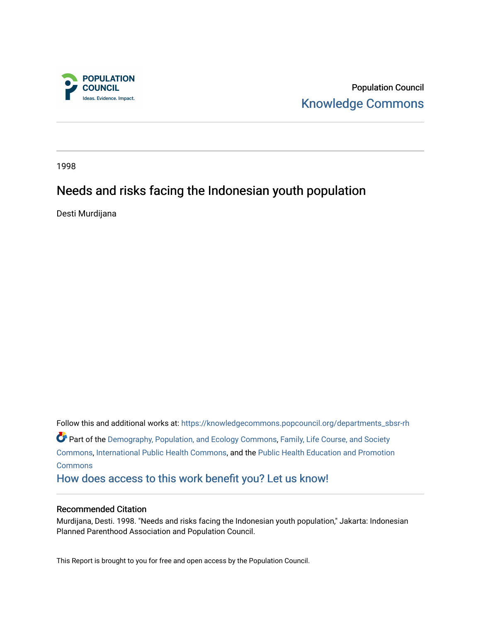

Population Council [Knowledge Commons](https://knowledgecommons.popcouncil.org/) 

1998

# Needs and risks facing the Indonesian youth population

Desti Murdijana

Follow this and additional works at: [https://knowledgecommons.popcouncil.org/departments\\_sbsr-rh](https://knowledgecommons.popcouncil.org/departments_sbsr-rh?utm_source=knowledgecommons.popcouncil.org%2Fdepartments_sbsr-rh%2F2055&utm_medium=PDF&utm_campaign=PDFCoverPages)  Part of the [Demography, Population, and Ecology Commons,](https://network.bepress.com/hgg/discipline/418?utm_source=knowledgecommons.popcouncil.org%2Fdepartments_sbsr-rh%2F2055&utm_medium=PDF&utm_campaign=PDFCoverPages) [Family, Life Course, and Society](https://network.bepress.com/hgg/discipline/419?utm_source=knowledgecommons.popcouncil.org%2Fdepartments_sbsr-rh%2F2055&utm_medium=PDF&utm_campaign=PDFCoverPages)  [Commons](https://network.bepress.com/hgg/discipline/419?utm_source=knowledgecommons.popcouncil.org%2Fdepartments_sbsr-rh%2F2055&utm_medium=PDF&utm_campaign=PDFCoverPages), [International Public Health Commons,](https://network.bepress.com/hgg/discipline/746?utm_source=knowledgecommons.popcouncil.org%2Fdepartments_sbsr-rh%2F2055&utm_medium=PDF&utm_campaign=PDFCoverPages) and the [Public Health Education and Promotion](https://network.bepress.com/hgg/discipline/743?utm_source=knowledgecommons.popcouncil.org%2Fdepartments_sbsr-rh%2F2055&utm_medium=PDF&utm_campaign=PDFCoverPages)  **[Commons](https://network.bepress.com/hgg/discipline/743?utm_source=knowledgecommons.popcouncil.org%2Fdepartments_sbsr-rh%2F2055&utm_medium=PDF&utm_campaign=PDFCoverPages)** [How does access to this work benefit you? Let us know!](https://pcouncil.wufoo.com/forms/open-access-to-population-council-research/)

#### Recommended Citation

Murdijana, Desti. 1998. "Needs and risks facing the Indonesian youth population," Jakarta: Indonesian Planned Parenthood Association and Population Council.

This Report is brought to you for free and open access by the Population Council.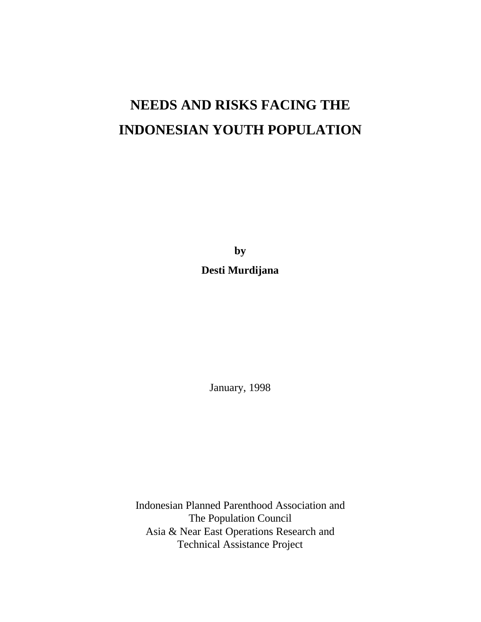# **NEEDS AND RISKS FACING THE INDONESIAN YOUTH POPULATION**

**by**

# **Desti Murdijana**

January, 1998

Indonesian Planned Parenthood Association and The Population Council Asia & Near East Operations Research and Technical Assistance Project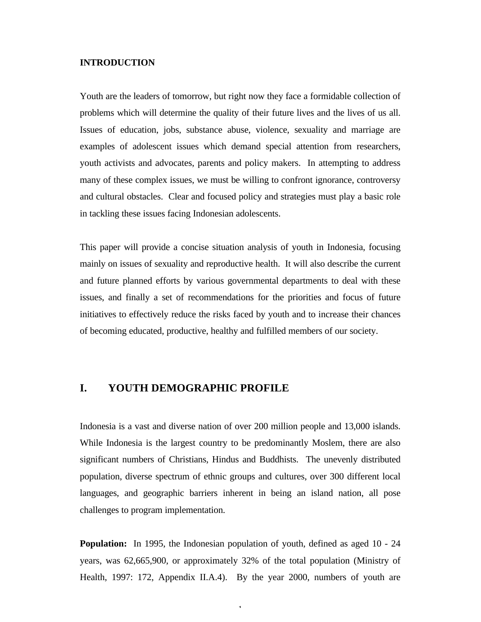#### **INTRODUCTION**

Youth are the leaders of tomorrow, but right now they face a formidable collection of problems which will determine the quality of their future lives and the lives of us all. Issues of education, jobs, substance abuse, violence, sexuality and marriage are examples of adolescent issues which demand special attention from researchers, youth activists and advocates, parents and policy makers. In attempting to address many of these complex issues, we must be willing to confront ignorance, controversy and cultural obstacles. Clear and focused policy and strategies must play a basic role in tackling these issues facing Indonesian adolescents.

This paper will provide a concise situation analysis of youth in Indonesia, focusing mainly on issues of sexuality and reproductive health. It will also describe the current and future planned efforts by various governmental departments to deal with these issues, and finally a set of recommendations for the priorities and focus of future initiatives to effectively reduce the risks faced by youth and to increase their chances of becoming educated, productive, healthy and fulfilled members of our society.

# **I. YOUTH DEMOGRAPHIC PROFILE**

Indonesia is a vast and diverse nation of over 200 million people and 13,000 islands. While Indonesia is the largest country to be predominantly Moslem, there are also significant numbers of Christians, Hindus and Buddhists. The unevenly distributed population, diverse spectrum of ethnic groups and cultures, over 300 different local languages, and geographic barriers inherent in being an island nation, all pose challenges to program implementation.

**Population:** In 1995, the Indonesian population of youth, defined as aged 10 - 24 years, was 62,665,900, or approximately 32% of the total population (Ministry of Health, 1997: 172, Appendix II.A.4). By the year 2000, numbers of youth are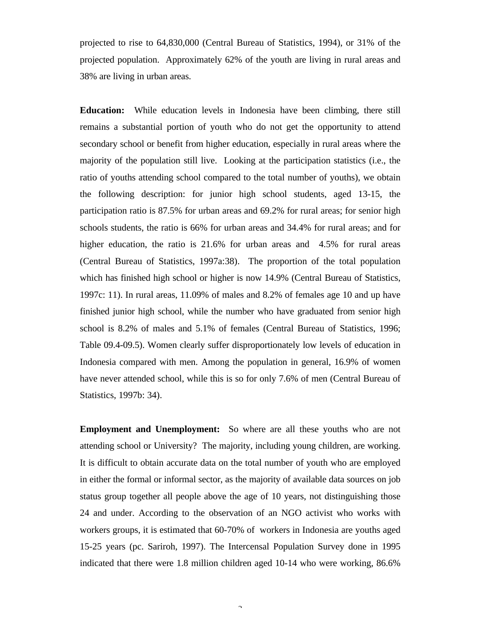projected to rise to 64,830,000 (Central Bureau of Statistics, 1994), or 31% of the projected population. Approximately 62% of the youth are living in rural areas and 38% are living in urban areas.

**Education:** While education levels in Indonesia have been climbing, there still remains a substantial portion of youth who do not get the opportunity to attend secondary school or benefit from higher education, especially in rural areas where the majority of the population still live. Looking at the participation statistics (i.e., the ratio of youths attending school compared to the total number of youths), we obtain the following description: for junior high school students, aged 13-15, the participation ratio is 87.5% for urban areas and 69.2% for rural areas; for senior high schools students, the ratio is 66% for urban areas and 34.4% for rural areas; and for higher education, the ratio is 21.6% for urban areas and 4.5% for rural areas (Central Bureau of Statistics, 1997a:38). The proportion of the total population which has finished high school or higher is now 14.9% (Central Bureau of Statistics, 1997c: 11). In rural areas, 11.09% of males and 8.2% of females age 10 and up have finished junior high school, while the number who have graduated from senior high school is 8.2% of males and 5.1% of females (Central Bureau of Statistics, 1996; Table 09.4-09.5). Women clearly suffer disproportionately low levels of education in Indonesia compared with men. Among the population in general, 16.9% of women have never attended school, while this is so for only 7.6% of men (Central Bureau of Statistics, 1997b: 34).

**Employment and Unemployment:** So where are all these youths who are not attending school or University? The majority, including young children, are working. It is difficult to obtain accurate data on the total number of youth who are employed in either the formal or informal sector, as the majority of available data sources on job status group together all people above the age of 10 years, not distinguishing those 24 and under. According to the observation of an NGO activist who works with workers groups, it is estimated that 60-70% of workers in Indonesia are youths aged 15-25 years (pc. Sariroh, 1997). The Intercensal Population Survey done in 1995 indicated that there were 1.8 million children aged 10-14 who were working, 86.6%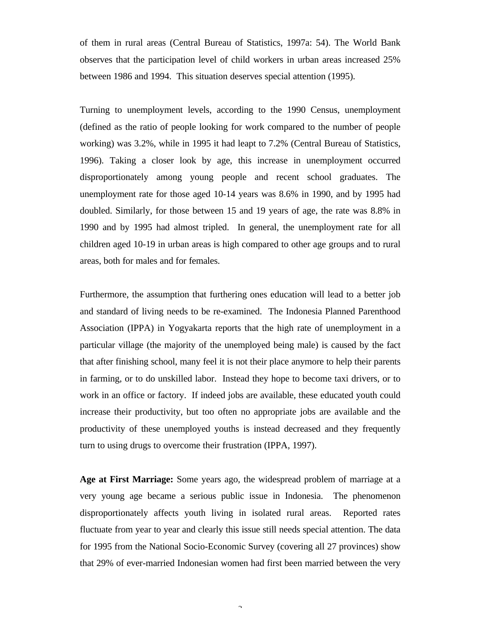of them in rural areas (Central Bureau of Statistics, 1997a: 54). The World Bank observes that the participation level of child workers in urban areas increased 25% between 1986 and 1994. This situation deserves special attention (1995).

Turning to unemployment levels, according to the 1990 Census, unemployment (defined as the ratio of people looking for work compared to the number of people working) was 3.2%, while in 1995 it had leapt to 7.2% (Central Bureau of Statistics, 1996). Taking a closer look by age, this increase in unemployment occurred disproportionately among young people and recent school graduates. The unemployment rate for those aged 10-14 years was 8.6% in 1990, and by 1995 had doubled. Similarly, for those between 15 and 19 years of age, the rate was 8.8% in 1990 and by 1995 had almost tripled. In general, the unemployment rate for all children aged 10-19 in urban areas is high compared to other age groups and to rural areas, both for males and for females.

Furthermore, the assumption that furthering ones education will lead to a better job and standard of living needs to be re-examined. The Indonesia Planned Parenthood Association (IPPA) in Yogyakarta reports that the high rate of unemployment in a particular village (the majority of the unemployed being male) is caused by the fact that after finishing school, many feel it is not their place anymore to help their parents in farming, or to do unskilled labor. Instead they hope to become taxi drivers, or to work in an office or factory. If indeed jobs are available, these educated youth could increase their productivity, but too often no appropriate jobs are available and the productivity of these unemployed youths is instead decreased and they frequently turn to using drugs to overcome their frustration (IPPA, 1997).

**Age at First Marriage:** Some years ago, the widespread problem of marriage at a very young age became a serious public issue in Indonesia. The phenomenon disproportionately affects youth living in isolated rural areas. Reported rates fluctuate from year to year and clearly this issue still needs special attention. The data for 1995 from the National Socio-Economic Survey (covering all 27 provinces) show that 29% of ever-married Indonesian women had first been married between the very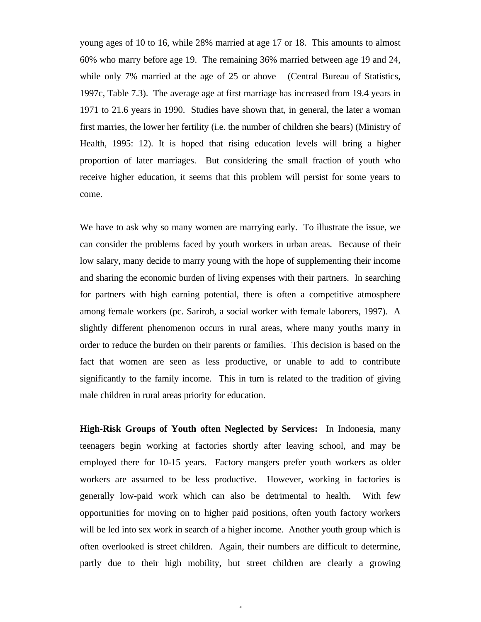young ages of 10 to 16, while 28% married at age 17 or 18. This amounts to almost 60% who marry before age 19. The remaining 36% married between age 19 and 24, while only 7% married at the age of 25 or above (Central Bureau of Statistics, 1997c, Table 7.3). The average age at first marriage has increased from 19.4 years in 1971 to 21.6 years in 1990. Studies have shown that, in general, the later a woman first marries, the lower her fertility (i.e. the number of children she bears) (Ministry of Health, 1995: 12). It is hoped that rising education levels will bring a higher proportion of later marriages. But considering the small fraction of youth who receive higher education, it seems that this problem will persist for some years to come.

We have to ask why so many women are marrying early. To illustrate the issue, we can consider the problems faced by youth workers in urban areas. Because of their low salary, many decide to marry young with the hope of supplementing their income and sharing the economic burden of living expenses with their partners. In searching for partners with high earning potential, there is often a competitive atmosphere among female workers (pc. Sariroh, a social worker with female laborers, 1997). A slightly different phenomenon occurs in rural areas, where many youths marry in order to reduce the burden on their parents or families. This decision is based on the fact that women are seen as less productive, or unable to add to contribute significantly to the family income. This in turn is related to the tradition of giving male children in rural areas priority for education.

**High-Risk Groups of Youth often Neglected by Services:** In Indonesia, many teenagers begin working at factories shortly after leaving school, and may be employed there for 10-15 years. Factory mangers prefer youth workers as older workers are assumed to be less productive. However, working in factories is generally low-paid work which can also be detrimental to health. With few opportunities for moving on to higher paid positions, often youth factory workers will be led into sex work in search of a higher income. Another youth group which is often overlooked is street children. Again, their numbers are difficult to determine, partly due to their high mobility, but street children are clearly a growing

 $\overline{a}$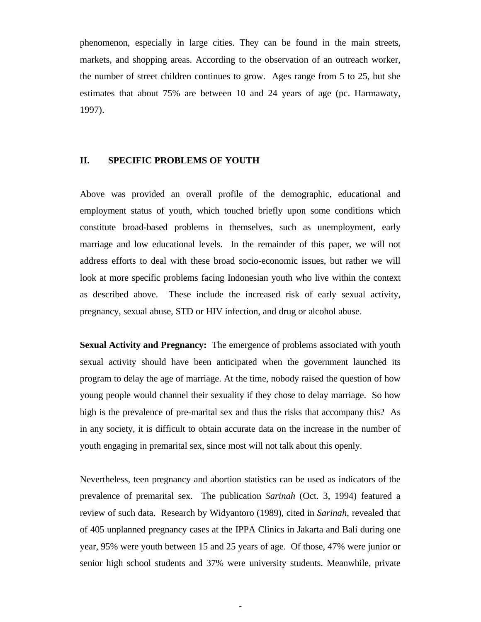phenomenon, especially in large cities. They can be found in the main streets, markets, and shopping areas. According to the observation of an outreach worker, the number of street children continues to grow. Ages range from 5 to 25, but she estimates that about 75% are between 10 and 24 years of age (pc. Harmawaty, 1997).

#### **II. SPECIFIC PROBLEMS OF YOUTH**

Above was provided an overall profile of the demographic, educational and employment status of youth, which touched briefly upon some conditions which constitute broad-based problems in themselves, such as unemployment, early marriage and low educational levels. In the remainder of this paper, we will not address efforts to deal with these broad socio-economic issues, but rather we will look at more specific problems facing Indonesian youth who live within the context as described above. These include the increased risk of early sexual activity, pregnancy, sexual abuse, STD or HIV infection, and drug or alcohol abuse.

**Sexual Activity and Pregnancy:** The emergence of problems associated with youth sexual activity should have been anticipated when the government launched its program to delay the age of marriage. At the time, nobody raised the question of how young people would channel their sexuality if they chose to delay marriage. So how high is the prevalence of pre-marital sex and thus the risks that accompany this? As in any society, it is difficult to obtain accurate data on the increase in the number of youth engaging in premarital sex, since most will not talk about this openly.

Nevertheless, teen pregnancy and abortion statistics can be used as indicators of the prevalence of premarital sex. The publication *Sarinah* (Oct. 3, 1994) featured a review of such data. Research by Widyantoro (1989), cited in *Sarinah*, revealed that of 405 unplanned pregnancy cases at the IPPA Clinics in Jakarta and Bali during one year, 95% were youth between 15 and 25 years of age. Of those, 47% were junior or senior high school students and 37% were university students. Meanwhile, private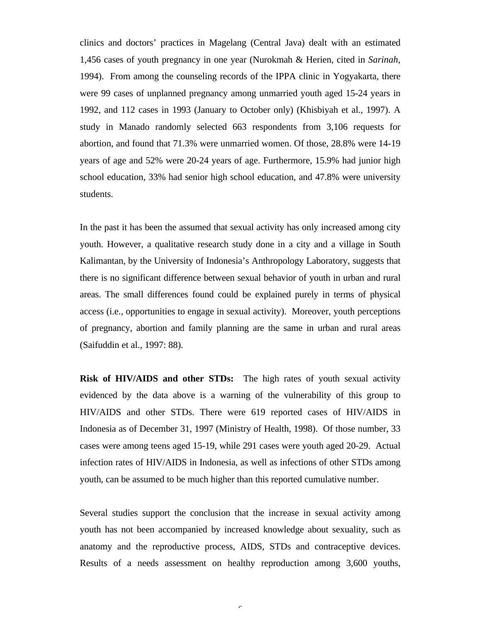clinics and doctors' practices in Magelang (Central Java) dealt with an estimated 1,456 cases of youth pregnancy in one year (Nurokmah & Herien, cited in *Sarinah*, 1994). From among the counseling records of the IPPA clinic in Yogyakarta, there were 99 cases of unplanned pregnancy among unmarried youth aged 15-24 years in 1992, and 112 cases in 1993 (January to October only) (Khisbiyah et al., 1997). A study in Manado randomly selected 663 respondents from 3,106 requests for abortion, and found that 71.3% were unmarried women. Of those, 28.8% were 14-19 years of age and 52% were 20-24 years of age. Furthermore, 15.9% had junior high school education, 33% had senior high school education, and 47.8% were university students.

In the past it has been the assumed that sexual activity has only increased among city youth. However, a qualitative research study done in a city and a village in South Kalimantan, by the University of Indonesia's Anthropology Laboratory, suggests that there is no significant difference between sexual behavior of youth in urban and rural areas. The small differences found could be explained purely in terms of physical access (i.e., opportunities to engage in sexual activity). Moreover, youth perceptions of pregnancy, abortion and family planning are the same in urban and rural areas (Saifuddin et al., 1997: 88).

**Risk of HIV/AIDS and other STDs:** The high rates of youth sexual activity evidenced by the data above is a warning of the vulnerability of this group to HIV/AIDS and other STDs. There were 619 reported cases of HIV/AIDS in Indonesia as of December 31, 1997 (Ministry of Health, 1998). Of those number, 33 cases were among teens aged 15-19, while 291 cases were youth aged 20-29. Actual infection rates of HIV/AIDS in Indonesia, as well as infections of other STDs among youth, can be assumed to be much higher than this reported cumulative number.

Several studies support the conclusion that the increase in sexual activity among youth has not been accompanied by increased knowledge about sexuality, such as anatomy and the reproductive process, AIDS, STDs and contraceptive devices. Results of a needs assessment on healthy reproduction among 3,600 youths,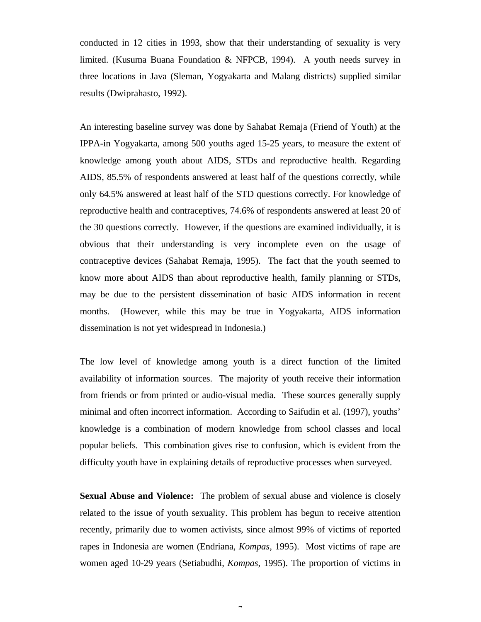conducted in 12 cities in 1993, show that their understanding of sexuality is very limited. (Kusuma Buana Foundation & NFPCB, 1994). A youth needs survey in three locations in Java (Sleman, Yogyakarta and Malang districts) supplied similar results (Dwiprahasto, 1992).

An interesting baseline survey was done by Sahabat Remaja (Friend of Youth) at the IPPA-in Yogyakarta, among 500 youths aged 15-25 years, to measure the extent of knowledge among youth about AIDS, STDs and reproductive health. Regarding AIDS, 85.5% of respondents answered at least half of the questions correctly, while only 64.5% answered at least half of the STD questions correctly. For knowledge of reproductive health and contraceptives, 74.6% of respondents answered at least 20 of the 30 questions correctly. However, if the questions are examined individually, it is obvious that their understanding is very incomplete even on the usage of contraceptive devices (Sahabat Remaja, 1995). The fact that the youth seemed to know more about AIDS than about reproductive health, family planning or STDs, may be due to the persistent dissemination of basic AIDS information in recent months. (However, while this may be true in Yogyakarta, AIDS information dissemination is not yet widespread in Indonesia.)

The low level of knowledge among youth is a direct function of the limited availability of information sources. The majority of youth receive their information from friends or from printed or audio-visual media. These sources generally supply minimal and often incorrect information. According to Saifudin et al. (1997), youths' knowledge is a combination of modern knowledge from school classes and local popular beliefs. This combination gives rise to confusion, which is evident from the difficulty youth have in explaining details of reproductive processes when surveyed.

**Sexual Abuse and Violence:** The problem of sexual abuse and violence is closely related to the issue of youth sexuality. This problem has begun to receive attention recently, primarily due to women activists, since almost 99% of victims of reported rapes in Indonesia are women (Endriana, *Kompas,* 1995). Most victims of rape are women aged 10-29 years (Setiabudhi, *Kompas*, 1995). The proportion of victims in

 $\overline{a}$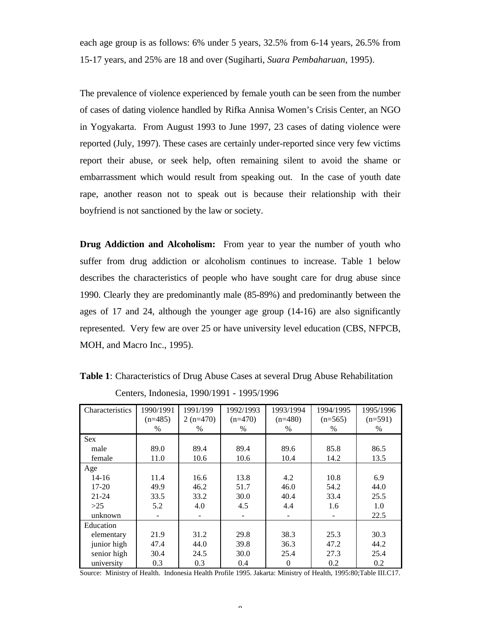each age group is as follows: 6% under 5 years, 32.5% from 6-14 years, 26.5% from 15-17 years, and 25% are 18 and over (Sugiharti, *Suara Pembaharuan*, 1995).

The prevalence of violence experienced by female youth can be seen from the number of cases of dating violence handled by Rifka Annisa Women's Crisis Center, an NGO in Yogyakarta. From August 1993 to June 1997, 23 cases of dating violence were reported (July, 1997). These cases are certainly under-reported since very few victims report their abuse, or seek help, often remaining silent to avoid the shame or embarrassment which would result from speaking out. In the case of youth date rape, another reason not to speak out is because their relationship with their boyfriend is not sanctioned by the law or society.

**Drug Addiction and Alcoholism:** From year to year the number of youth who suffer from drug addiction or alcoholism continues to increase. Table 1 below describes the characteristics of people who have sought care for drug abuse since 1990. Clearly they are predominantly male (85-89%) and predominantly between the ages of 17 and 24, although the younger age group (14-16) are also significantly represented. Very few are over 25 or have university level education (CBS, NFPCB, MOH, and Macro Inc., 1995).

| Characteristics | 1990/1991 | 1991/199   | 1992/1993 | 1993/1994 | 1994/1995 | 1995/1996 |
|-----------------|-----------|------------|-----------|-----------|-----------|-----------|
|                 | $(n=485)$ | $2(n=470)$ | $(n=470)$ | $(n=480)$ | $(n=565)$ | $(n=591)$ |
|                 | %         | %          | %         | $\%$      | %         | $\%$      |
| <b>Sex</b>      |           |            |           |           |           |           |
| male            | 89.0      | 89.4       | 89.4      | 89.6      | 85.8      | 86.5      |
| female          | 11.0      | 10.6       | 10.6      | 10.4      | 14.2      | 13.5      |
| Age             |           |            |           |           |           |           |
| $14 - 16$       | 11.4      | 16.6       | 13.8      | 4.2       | 10.8      | 6.9       |
| $17 - 20$       | 49.9      | 46.2       | 51.7      | 46.0      | 54.2      | 44.0      |
| $21 - 24$       | 33.5      | 33.2       | 30.0      | 40.4      | 33.4      | 25.5      |
| >25             | 5.2       | 4.0        | 4.5       | 4.4       | 1.6       | 1.0       |
| unknown         |           |            |           |           |           | 22.5      |
| Education       |           |            |           |           |           |           |
| elementary      | 21.9      | 31.2       | 29.8      | 38.3      | 25.3      | 30.3      |
| junior high     | 47.4      | 44.0       | 39.8      | 36.3      | 47.2      | 44.2      |
| senior high     | 30.4      | 24.5       | 30.0      | 25.4      | 27.3      | 25.4      |
| university      | 0.3       | 0.3        | 0.4       | $\theta$  | 0.2       | 0.2       |

**Table 1**: Characteristics of Drug Abuse Cases at several Drug Abuse Rehabilitation Centers, Indonesia, 1990/1991 - 1995/1996

Source: Ministry of Health. Indonesia Health Profile 1995. Jakarta: Ministry of Health, 1995:80;Table III.C17.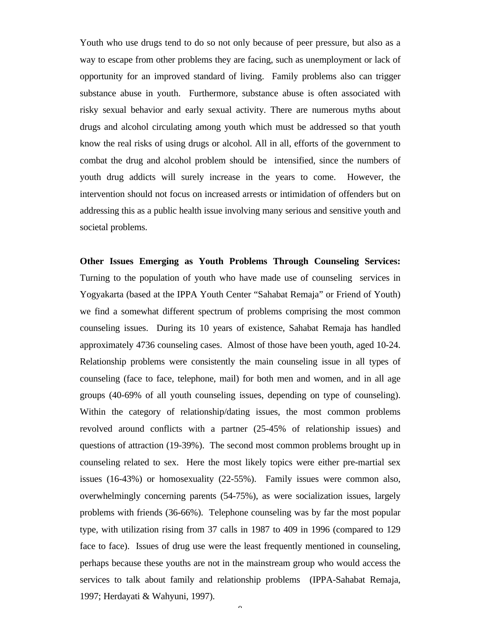Youth who use drugs tend to do so not only because of peer pressure, but also as a way to escape from other problems they are facing, such as unemployment or lack of opportunity for an improved standard of living. Family problems also can trigger substance abuse in youth. Furthermore, substance abuse is often associated with risky sexual behavior and early sexual activity. There are numerous myths about drugs and alcohol circulating among youth which must be addressed so that youth know the real risks of using drugs or alcohol. All in all, efforts of the government to combat the drug and alcohol problem should be intensified, since the numbers of youth drug addicts will surely increase in the years to come. However, the intervention should not focus on increased arrests or intimidation of offenders but on addressing this as a public health issue involving many serious and sensitive youth and societal problems.

**Other Issues Emerging as Youth Problems Through Counseling Services:** Turning to the population of youth who have made use of counseling services in Yogyakarta (based at the IPPA Youth Center "Sahabat Remaja" or Friend of Youth) we find a somewhat different spectrum of problems comprising the most common counseling issues. During its 10 years of existence, Sahabat Remaja has handled approximately 4736 counseling cases. Almost of those have been youth, aged 10-24. Relationship problems were consistently the main counseling issue in all types of counseling (face to face, telephone, mail) for both men and women, and in all age groups (40-69% of all youth counseling issues, depending on type of counseling). Within the category of relationship/dating issues, the most common problems revolved around conflicts with a partner (25-45% of relationship issues) and questions of attraction (19-39%). The second most common problems brought up in counseling related to sex. Here the most likely topics were either pre-martial sex issues (16-43%) or homosexuality (22-55%). Family issues were common also, overwhelmingly concerning parents (54-75%), as were socialization issues, largely problems with friends (36-66%). Telephone counseling was by far the most popular type, with utilization rising from 37 calls in 1987 to 409 in 1996 (compared to 129 face to face). Issues of drug use were the least frequently mentioned in counseling, perhaps because these youths are not in the mainstream group who would access the services to talk about family and relationship problems (IPPA-Sahabat Remaja, 1997; Herdayati & Wahyuni, 1997).

 $\overline{Q}$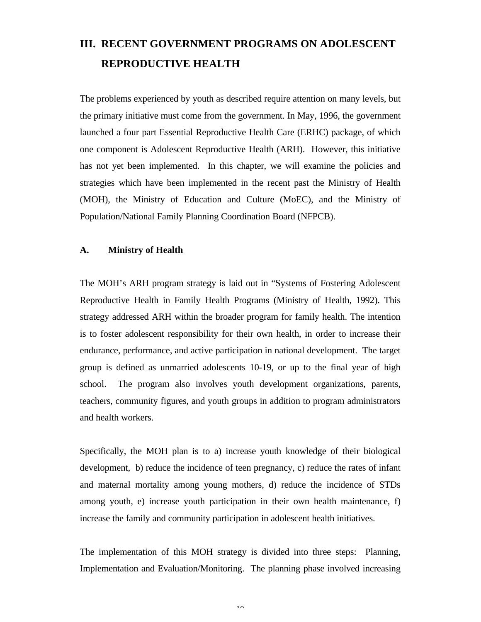# **III. RECENT GOVERNMENT PROGRAMS ON ADOLESCENT REPRODUCTIVE HEALTH**

The problems experienced by youth as described require attention on many levels, but the primary initiative must come from the government. In May, 1996, the government launched a four part Essential Reproductive Health Care (ERHC) package, of which one component is Adolescent Reproductive Health (ARH). However, this initiative has not yet been implemented. In this chapter, we will examine the policies and strategies which have been implemented in the recent past the Ministry of Health (MOH), the Ministry of Education and Culture (MoEC), and the Ministry of Population/National Family Planning Coordination Board (NFPCB).

#### **A. Ministry of Health**

The MOH's ARH program strategy is laid out in "Systems of Fostering Adolescent Reproductive Health in Family Health Programs (Ministry of Health, 1992). This strategy addressed ARH within the broader program for family health. The intention is to foster adolescent responsibility for their own health, in order to increase their endurance, performance, and active participation in national development. The target group is defined as unmarried adolescents 10-19, or up to the final year of high school. The program also involves youth development organizations, parents, teachers, community figures, and youth groups in addition to program administrators and health workers.

Specifically, the MOH plan is to a) increase youth knowledge of their biological development, b) reduce the incidence of teen pregnancy, c) reduce the rates of infant and maternal mortality among young mothers, d) reduce the incidence of STDs among youth, e) increase youth participation in their own health maintenance, f) increase the family and community participation in adolescent health initiatives.

The implementation of this MOH strategy is divided into three steps: Planning, Implementation and Evaluation/Monitoring. The planning phase involved increasing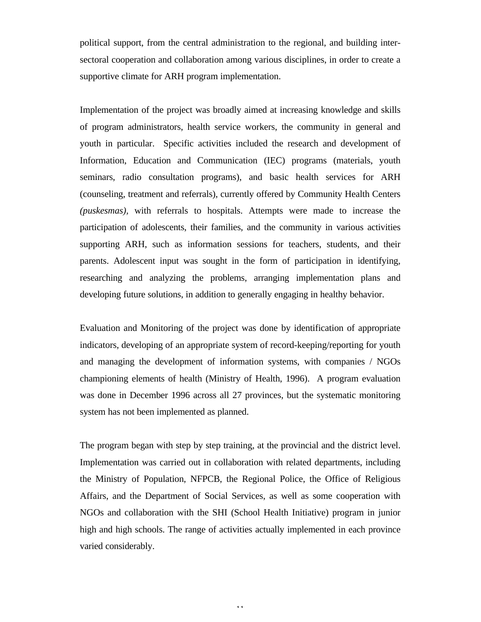political support, from the central administration to the regional, and building intersectoral cooperation and collaboration among various disciplines, in order to create a supportive climate for ARH program implementation.

Implementation of the project was broadly aimed at increasing knowledge and skills of program administrators, health service workers, the community in general and youth in particular. Specific activities included the research and development of Information, Education and Communication (IEC) programs (materials, youth seminars, radio consultation programs), and basic health services for ARH (counseling, treatment and referrals), currently offered by Community Health Centers *(puskesmas),* with referrals to hospitals. Attempts were made to increase the participation of adolescents, their families, and the community in various activities supporting ARH, such as information sessions for teachers, students, and their parents. Adolescent input was sought in the form of participation in identifying, researching and analyzing the problems, arranging implementation plans and developing future solutions, in addition to generally engaging in healthy behavior.

Evaluation and Monitoring of the project was done by identification of appropriate indicators, developing of an appropriate system of record-keeping/reporting for youth and managing the development of information systems, with companies / NGOs championing elements of health (Ministry of Health, 1996). A program evaluation was done in December 1996 across all 27 provinces, but the systematic monitoring system has not been implemented as planned.

The program began with step by step training, at the provincial and the district level. Implementation was carried out in collaboration with related departments, including the Ministry of Population, NFPCB, the Regional Police, the Office of Religious Affairs, and the Department of Social Services, as well as some cooperation with NGOs and collaboration with the SHI (School Health Initiative) program in junior high and high schools. The range of activities actually implemented in each province varied considerably.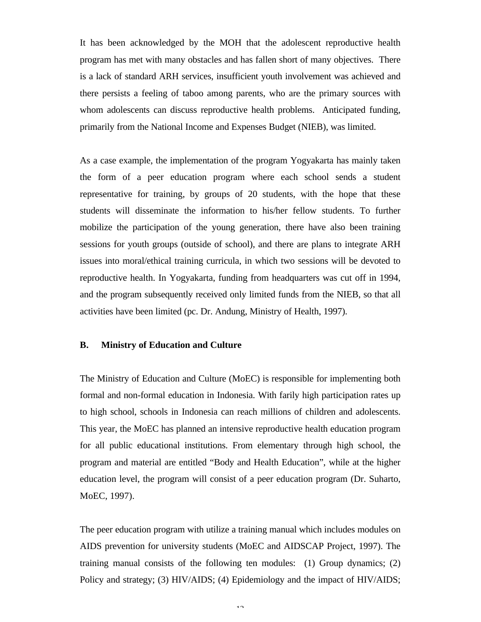It has been acknowledged by the MOH that the adolescent reproductive health program has met with many obstacles and has fallen short of many objectives. There is a lack of standard ARH services, insufficient youth involvement was achieved and there persists a feeling of taboo among parents, who are the primary sources with whom adolescents can discuss reproductive health problems. Anticipated funding, primarily from the National Income and Expenses Budget (NIEB), was limited.

As a case example, the implementation of the program Yogyakarta has mainly taken the form of a peer education program where each school sends a student representative for training, by groups of 20 students, with the hope that these students will disseminate the information to his/her fellow students. To further mobilize the participation of the young generation, there have also been training sessions for youth groups (outside of school), and there are plans to integrate ARH issues into moral/ethical training curricula, in which two sessions will be devoted to reproductive health. In Yogyakarta, funding from headquarters was cut off in 1994, and the program subsequently received only limited funds from the NIEB, so that all activities have been limited (pc. Dr. Andung, Ministry of Health, 1997).

#### **B. Ministry of Education and Culture**

The Ministry of Education and Culture (MoEC) is responsible for implementing both formal and non-formal education in Indonesia. With farily high participation rates up to high school, schools in Indonesia can reach millions of children and adolescents. This year, the MoEC has planned an intensive reproductive health education program for all public educational institutions. From elementary through high school, the program and material are entitled "Body and Health Education", while at the higher education level, the program will consist of a peer education program (Dr. Suharto, MoEC, 1997).

The peer education program with utilize a training manual which includes modules on AIDS prevention for university students (MoEC and AIDSCAP Project, 1997). The training manual consists of the following ten modules: (1) Group dynamics; (2) Policy and strategy; (3) HIV/AIDS; (4) Epidemiology and the impact of HIV/AIDS;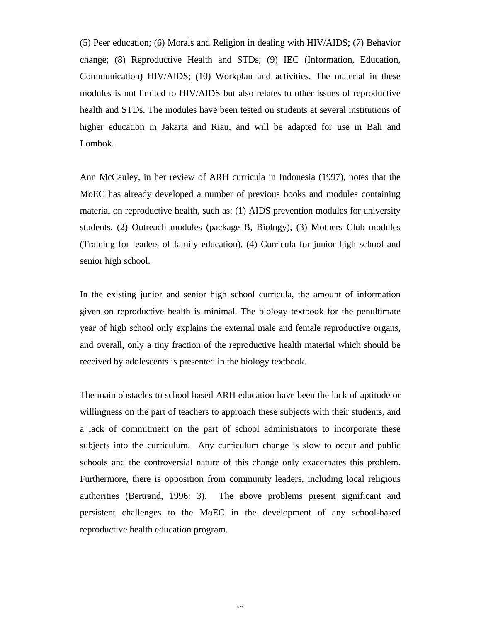(5) Peer education; (6) Morals and Religion in dealing with HIV/AIDS; (7) Behavior change; (8) Reproductive Health and STDs; (9) IEC (Information, Education, Communication) HIV/AIDS; (10) Workplan and activities. The material in these modules is not limited to HIV/AIDS but also relates to other issues of reproductive health and STDs. The modules have been tested on students at several institutions of higher education in Jakarta and Riau, and will be adapted for use in Bali and Lombok.

Ann McCauley, in her review of ARH curricula in Indonesia (1997), notes that the MoEC has already developed a number of previous books and modules containing material on reproductive health, such as: (1) AIDS prevention modules for university students, (2) Outreach modules (package B, Biology), (3) Mothers Club modules (Training for leaders of family education), (4) Curricula for junior high school and senior high school.

In the existing junior and senior high school curricula, the amount of information given on reproductive health is minimal. The biology textbook for the penultimate year of high school only explains the external male and female reproductive organs, and overall, only a tiny fraction of the reproductive health material which should be received by adolescents is presented in the biology textbook.

The main obstacles to school based ARH education have been the lack of aptitude or willingness on the part of teachers to approach these subjects with their students, and a lack of commitment on the part of school administrators to incorporate these subjects into the curriculum. Any curriculum change is slow to occur and public schools and the controversial nature of this change only exacerbates this problem. Furthermore, there is opposition from community leaders, including local religious authorities (Bertrand, 1996: 3). The above problems present significant and persistent challenges to the MoEC in the development of any school-based reproductive health education program.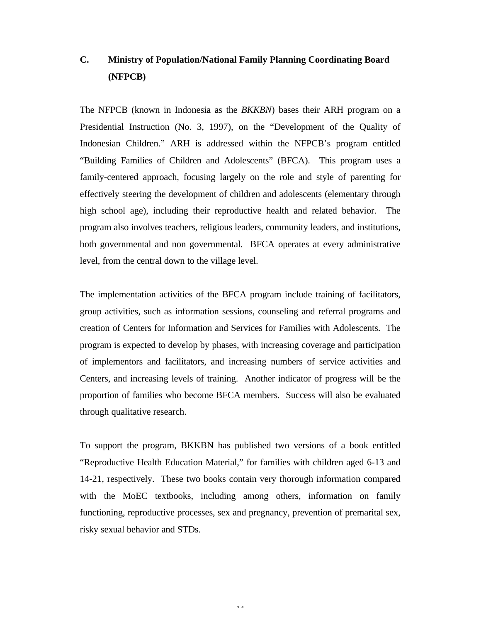# **C. Ministry of Population/National Family Planning Coordinating Board (NFPCB)**

The NFPCB (known in Indonesia as the *BKKBN*) bases their ARH program on a Presidential Instruction (No. 3, 1997), on the "Development of the Quality of Indonesian Children." ARH is addressed within the NFPCB's program entitled "Building Families of Children and Adolescents" (BFCA). This program uses a family-centered approach, focusing largely on the role and style of parenting for effectively steering the development of children and adolescents (elementary through high school age), including their reproductive health and related behavior. The program also involves teachers, religious leaders, community leaders, and institutions, both governmental and non governmental. BFCA operates at every administrative level, from the central down to the village level.

The implementation activities of the BFCA program include training of facilitators, group activities, such as information sessions, counseling and referral programs and creation of Centers for Information and Services for Families with Adolescents. The program is expected to develop by phases, with increasing coverage and participation of implementors and facilitators, and increasing numbers of service activities and Centers, and increasing levels of training. Another indicator of progress will be the proportion of families who become BFCA members. Success will also be evaluated through qualitative research.

To support the program, BKKBN has published two versions of a book entitled "Reproductive Health Education Material," for families with children aged 6-13 and 14-21, respectively. These two books contain very thorough information compared with the MoEC textbooks, including among others, information on family functioning, reproductive processes, sex and pregnancy, prevention of premarital sex, risky sexual behavior and STDs.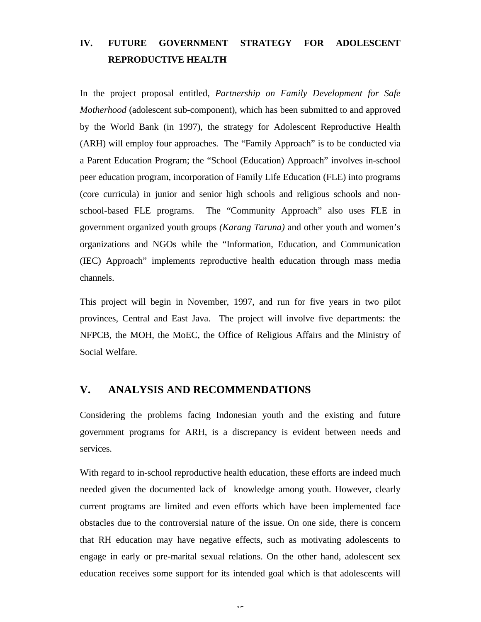# **IV. FUTURE GOVERNMENT STRATEGY FOR ADOLESCENT REPRODUCTIVE HEALTH**

In the project proposal entitled, *Partnership on Family Development for Safe Motherhood* (adolescent sub-component), which has been submitted to and approved by the World Bank (in 1997), the strategy for Adolescent Reproductive Health (ARH) will employ four approaches. The "Family Approach" is to be conducted via a Parent Education Program; the "School (Education) Approach" involves in-school peer education program, incorporation of Family Life Education (FLE) into programs (core curricula) in junior and senior high schools and religious schools and nonschool-based FLE programs. The "Community Approach" also uses FLE in government organized youth groups *(Karang Taruna)* and other youth and women's organizations and NGOs while the "Information, Education, and Communication (IEC) Approach" implements reproductive health education through mass media channels.

This project will begin in November, 1997, and run for five years in two pilot provinces, Central and East Java. The project will involve five departments: the NFPCB, the MOH, the MoEC, the Office of Religious Affairs and the Ministry of Social Welfare.

# **V. ANALYSIS AND RECOMMENDATIONS**

Considering the problems facing Indonesian youth and the existing and future government programs for ARH, is a discrepancy is evident between needs and services.

With regard to in-school reproductive health education, these efforts are indeed much needed given the documented lack of knowledge among youth. However, clearly current programs are limited and even efforts which have been implemented face obstacles due to the controversial nature of the issue. On one side, there is concern that RH education may have negative effects, such as motivating adolescents to engage in early or pre-marital sexual relations. On the other hand, adolescent sex education receives some support for its intended goal which is that adolescents will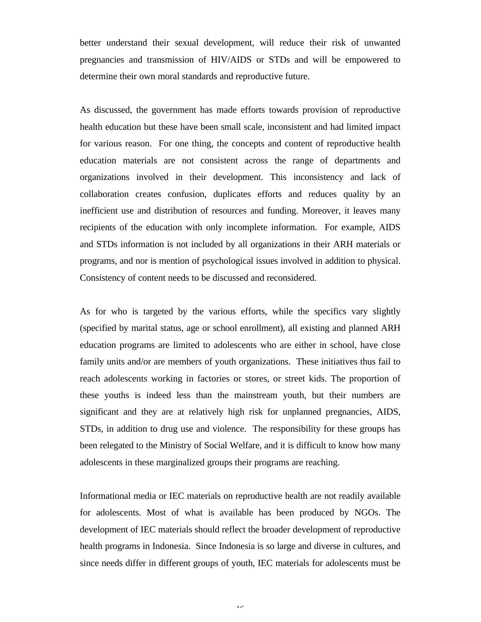better understand their sexual development, will reduce their risk of unwanted pregnancies and transmission of HIV/AIDS or STDs and will be empowered to determine their own moral standards and reproductive future.

As discussed, the government has made efforts towards provision of reproductive health education but these have been small scale, inconsistent and had limited impact for various reason. For one thing, the concepts and content of reproductive health education materials are not consistent across the range of departments and organizations involved in their development. This inconsistency and lack of collaboration creates confusion, duplicates efforts and reduces quality by an inefficient use and distribution of resources and funding. Moreover, it leaves many recipients of the education with only incomplete information. For example, AIDS and STDs information is not included by all organizations in their ARH materials or programs, and nor is mention of psychological issues involved in addition to physical. Consistency of content needs to be discussed and reconsidered.

As for who is targeted by the various efforts, while the specifics vary slightly (specified by marital status, age or school enrollment), all existing and planned ARH education programs are limited to adolescents who are either in school, have close family units and/or are members of youth organizations. These initiatives thus fail to reach adolescents working in factories or stores, or street kids. The proportion of these youths is indeed less than the mainstream youth, but their numbers are significant and they are at relatively high risk for unplanned pregnancies, AIDS, STDs, in addition to drug use and violence. The responsibility for these groups has been relegated to the Ministry of Social Welfare, and it is difficult to know how many adolescents in these marginalized groups their programs are reaching.

Informational media or IEC materials on reproductive health are not readily available for adolescents. Most of what is available has been produced by NGOs. The development of IEC materials should reflect the broader development of reproductive health programs in Indonesia. Since Indonesia is so large and diverse in cultures, and since needs differ in different groups of youth, IEC materials for adolescents must be

 $\overline{16}$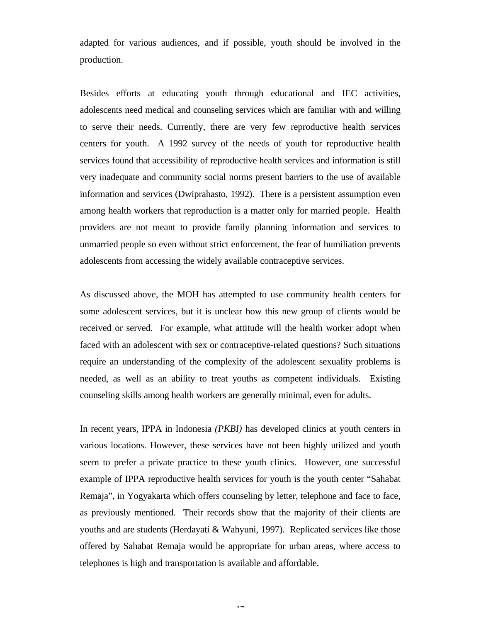adapted for various audiences, and if possible, youth should be involved in the production.

Besides efforts at educating youth through educational and IEC activities, adolescents need medical and counseling services which are familiar with and willing to serve their needs. Currently, there are very few reproductive health services centers for youth. A 1992 survey of the needs of youth for reproductive health services found that accessibility of reproductive health services and information is still very inadequate and community social norms present barriers to the use of available information and services (Dwiprahasto, 1992). There is a persistent assumption even among health workers that reproduction is a matter only for married people. Health providers are not meant to provide family planning information and services to unmarried people so even without strict enforcement, the fear of humiliation prevents adolescents from accessing the widely available contraceptive services.

As discussed above, the MOH has attempted to use community health centers for some adolescent services, but it is unclear how this new group of clients would be received or served. For example, what attitude will the health worker adopt when faced with an adolescent with sex or contraceptive-related questions? Such situations require an understanding of the complexity of the adolescent sexuality problems is needed, as well as an ability to treat youths as competent individuals. Existing counseling skills among health workers are generally minimal, even for adults.

In recent years, IPPA in Indonesia *(PKBI)* has developed clinics at youth centers in various locations. However, these services have not been highly utilized and youth seem to prefer a private practice to these youth clinics. However, one successful example of IPPA reproductive health services for youth is the youth center "Sahabat Remaja", in Yogyakarta which offers counseling by letter, telephone and face to face, as previously mentioned. Their records show that the majority of their clients are youths and are students (Herdayati & Wahyuni, 1997). Replicated services like those offered by Sahabat Remaja would be appropriate for urban areas, where access to telephones is high and transportation is available and affordable.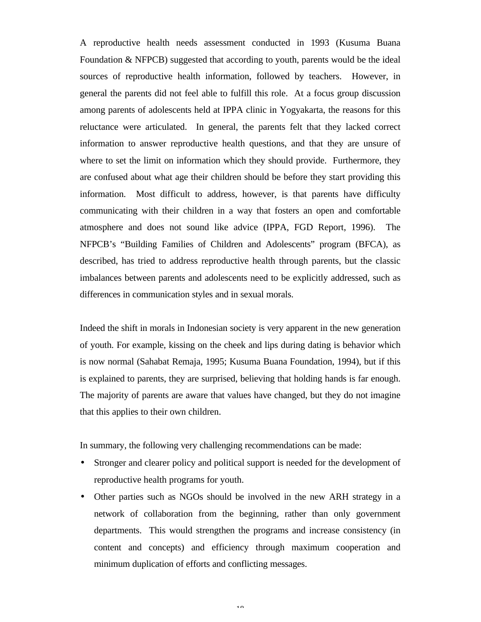A reproductive health needs assessment conducted in 1993 (Kusuma Buana Foundation & NFPCB) suggested that according to youth, parents would be the ideal sources of reproductive health information, followed by teachers. However, in general the parents did not feel able to fulfill this role. At a focus group discussion among parents of adolescents held at IPPA clinic in Yogyakarta, the reasons for this reluctance were articulated. In general, the parents felt that they lacked correct information to answer reproductive health questions, and that they are unsure of where to set the limit on information which they should provide. Furthermore, they are confused about what age their children should be before they start providing this information. Most difficult to address, however, is that parents have difficulty communicating with their children in a way that fosters an open and comfortable atmosphere and does not sound like advice (IPPA, FGD Report, 1996). The NFPCB's "Building Families of Children and Adolescents" program (BFCA), as described, has tried to address reproductive health through parents, but the classic imbalances between parents and adolescents need to be explicitly addressed, such as differences in communication styles and in sexual morals.

Indeed the shift in morals in Indonesian society is very apparent in the new generation of youth. For example, kissing on the cheek and lips during dating is behavior which is now normal (Sahabat Remaja, 1995; Kusuma Buana Foundation, 1994), but if this is explained to parents, they are surprised, believing that holding hands is far enough. The majority of parents are aware that values have changed, but they do not imagine that this applies to their own children.

In summary, the following very challenging recommendations can be made:

- Stronger and clearer policy and political support is needed for the development of reproductive health programs for youth.
- Other parties such as NGOs should be involved in the new ARH strategy in a network of collaboration from the beginning, rather than only government departments. This would strengthen the programs and increase consistency (in content and concepts) and efficiency through maximum cooperation and minimum duplication of efforts and conflicting messages.

 $1<sub>0</sub>$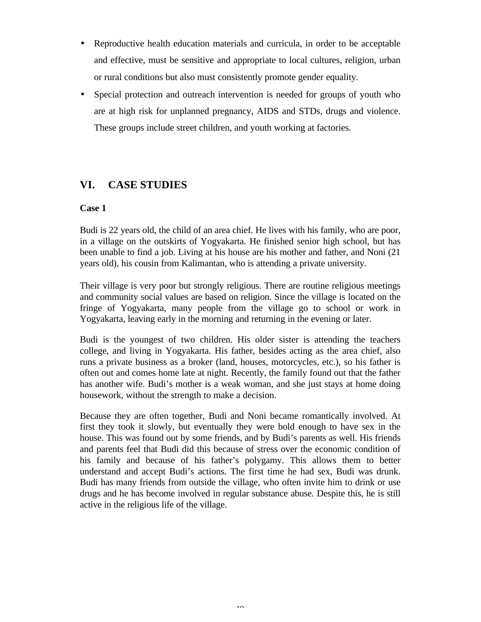- Reproductive health education materials and curricula, in order to be acceptable and effective, must be sensitive and appropriate to local cultures, religion, urban or rural conditions but also must consistently promote gender equality.
- Special protection and outreach intervention is needed for groups of youth who are at high risk for unplanned pregnancy, AIDS and STDs, drugs and violence. These groups include street children, and youth working at factories.

# **VI. CASE STUDIES**

# **Case 1**

Budi is 22 years old, the child of an area chief. He lives with his family, who are poor, in a village on the outskirts of Yogyakarta. He finished senior high school, but has been unable to find a job. Living at his house are his mother and father, and Noni (21 years old), his cousin from Kalimantan, who is attending a private university.

Their village is very poor but strongly religious. There are routine religious meetings and community social values are based on religion. Since the village is located on the fringe of Yogyakarta, many people from the village go to school or work in Yogyakarta, leaving early in the morning and returning in the evening or later.

Budi is the youngest of two children. His older sister is attending the teachers college, and living in Yogyakarta. His father, besides acting as the area chief, also runs a private business as a broker (land, houses, motorcycles, etc.), so his father is often out and comes home late at night. Recently, the family found out that the father has another wife. Budi's mother is a weak woman, and she just stays at home doing housework, without the strength to make a decision.

Because they are often together, Budi and Noni became romantically involved. At first they took it slowly, but eventually they were bold enough to have sex in the house. This was found out by some friends, and by Budi's parents as well. His friends and parents feel that Budi did this because of stress over the economic condition of his family and because of his father's polygamy. This allows them to better understand and accept Budi's actions. The first time he had sex, Budi was drunk. Budi has many friends from outside the village, who often invite him to drink or use drugs and he has become involved in regular substance abuse. Despite this, he is still active in the religious life of the village.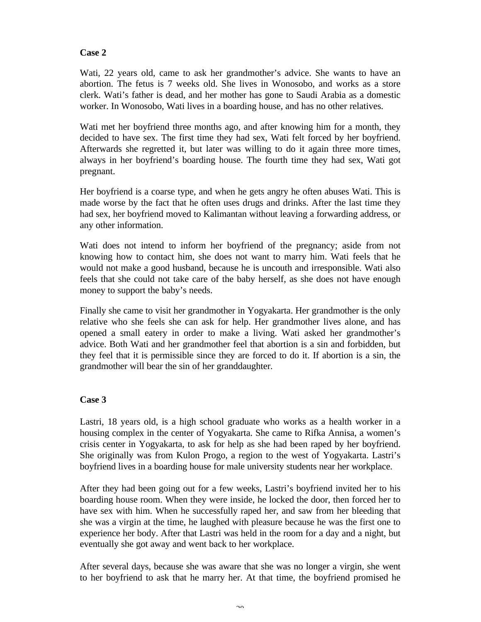## **Case 2**

Wati, 22 years old, came to ask her grandmother's advice. She wants to have an abortion. The fetus is 7 weeks old. She lives in Wonosobo, and works as a store clerk. Wati's father is dead, and her mother has gone to Saudi Arabia as a domestic worker. In Wonosobo, Wati lives in a boarding house, and has no other relatives.

Wati met her boyfriend three months ago, and after knowing him for a month, they decided to have sex. The first time they had sex, Wati felt forced by her boyfriend. Afterwards she regretted it, but later was willing to do it again three more times, always in her boyfriend's boarding house. The fourth time they had sex, Wati got pregnant.

Her boyfriend is a coarse type, and when he gets angry he often abuses Wati. This is made worse by the fact that he often uses drugs and drinks. After the last time they had sex, her boyfriend moved to Kalimantan without leaving a forwarding address, or any other information.

Wati does not intend to inform her boyfriend of the pregnancy; aside from not knowing how to contact him, she does not want to marry him. Wati feels that he would not make a good husband, because he is uncouth and irresponsible. Wati also feels that she could not take care of the baby herself, as she does not have enough money to support the baby's needs.

Finally she came to visit her grandmother in Yogyakarta. Her grandmother is the only relative who she feels she can ask for help. Her grandmother lives alone, and has opened a small eatery in order to make a living. Wati asked her grandmother's advice. Both Wati and her grandmother feel that abortion is a sin and forbidden, but they feel that it is permissible since they are forced to do it. If abortion is a sin, the grandmother will bear the sin of her granddaughter.

### **Case 3**

Lastri, 18 years old, is a high school graduate who works as a health worker in a housing complex in the center of Yogyakarta. She came to Rifka Annisa, a women's crisis center in Yogyakarta, to ask for help as she had been raped by her boyfriend. She originally was from Kulon Progo, a region to the west of Yogyakarta. Lastri's boyfriend lives in a boarding house for male university students near her workplace.

After they had been going out for a few weeks, Lastri's boyfriend invited her to his boarding house room. When they were inside, he locked the door, then forced her to have sex with him. When he successfully raped her, and saw from her bleeding that she was a virgin at the time, he laughed with pleasure because he was the first one to experience her body. After that Lastri was held in the room for a day and a night, but eventually she got away and went back to her workplace.

After several days, because she was aware that she was no longer a virgin, she went to her boyfriend to ask that he marry her. At that time, the boyfriend promised he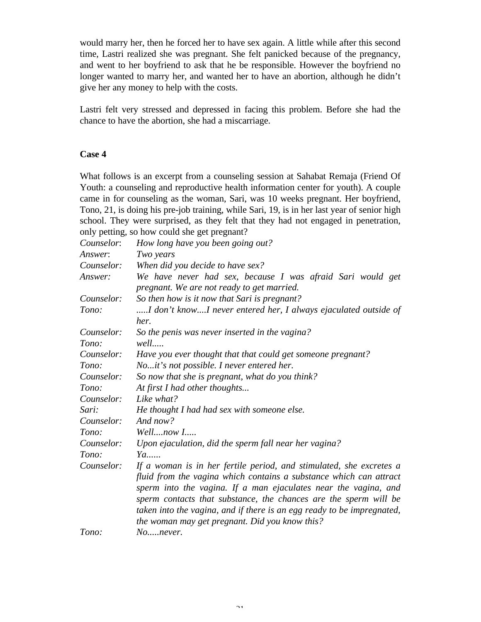would marry her, then he forced her to have sex again. A little while after this second time, Lastri realized she was pregnant. She felt panicked because of the pregnancy, and went to her boyfriend to ask that he be responsible. However the boyfriend no longer wanted to marry her, and wanted her to have an abortion, although he didn't give her any money to help with the costs.

Lastri felt very stressed and depressed in facing this problem. Before she had the chance to have the abortion, she had a miscarriage.

### **Case 4**

What follows is an excerpt from a counseling session at Sahabat Remaja (Friend Of Youth: a counseling and reproductive health information center for youth). A couple came in for counseling as the woman, Sari, was 10 weeks pregnant. Her boyfriend, Tono, 21, is doing his pre-job training, while Sari, 19, is in her last year of senior high school. They were surprised, as they felt that they had not engaged in penetration, only petting, so how could she get pregnant?

| Counselor: | How long have you been going out?                                                                                                   |  |  |  |  |  |
|------------|-------------------------------------------------------------------------------------------------------------------------------------|--|--|--|--|--|
| Answer:    | Two years                                                                                                                           |  |  |  |  |  |
| Counselor: | When did you decide to have sex?                                                                                                    |  |  |  |  |  |
| Answer:    | We have never had sex, because I was afraid Sari would get<br>pregnant. We are not ready to get married.                            |  |  |  |  |  |
| Counselor: | So then how is it now that Sari is pregnant?                                                                                        |  |  |  |  |  |
| Tono:      | I don't knowI never entered her, I always ejaculated outside of<br>her.                                                             |  |  |  |  |  |
| Counselor: | So the penis was never inserted in the vagina?                                                                                      |  |  |  |  |  |
| Tono:      | well                                                                                                                                |  |  |  |  |  |
| Counselor: | Have you ever thought that that could get someone pregnant?                                                                         |  |  |  |  |  |
| Tono:      | Noit's not possible. I never entered her.                                                                                           |  |  |  |  |  |
| Counselor: | So now that she is pregnant, what do you think?                                                                                     |  |  |  |  |  |
| Tono:      | At first I had other thoughts                                                                                                       |  |  |  |  |  |
| Counselor: | Like what?                                                                                                                          |  |  |  |  |  |
| Sari:      | He thought I had had sex with someone else.                                                                                         |  |  |  |  |  |
| Counselor: | And now?                                                                                                                            |  |  |  |  |  |
| Tono:      | Wellnow I                                                                                                                           |  |  |  |  |  |
| Counselor: | Upon ejaculation, did the sperm fall near her vagina?                                                                               |  |  |  |  |  |
| Tono:      | Ya                                                                                                                                  |  |  |  |  |  |
| Counselor: | If a woman is in her fertile period, and stimulated, she excretes a                                                                 |  |  |  |  |  |
|            | fluid from the vagina which contains a substance which can attract                                                                  |  |  |  |  |  |
|            | sperm into the vagina. If a man ejaculates near the vagina, and<br>sperm contacts that substance, the chances are the sperm will be |  |  |  |  |  |
|            | taken into the vagina, and if there is an egg ready to be impregnated,                                                              |  |  |  |  |  |
|            | the woman may get pregnant. Did you know this?                                                                                      |  |  |  |  |  |
| Tono:      | Nonever.                                                                                                                            |  |  |  |  |  |

 $\sim$  1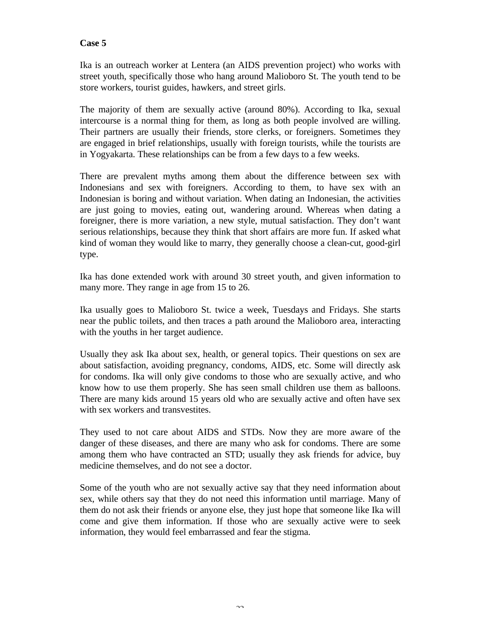### **Case 5**

Ika is an outreach worker at Lentera (an AIDS prevention project) who works with street youth, specifically those who hang around Malioboro St. The youth tend to be store workers, tourist guides, hawkers, and street girls.

The majority of them are sexually active (around 80%). According to Ika, sexual intercourse is a normal thing for them, as long as both people involved are willing. Their partners are usually their friends, store clerks, or foreigners. Sometimes they are engaged in brief relationships, usually with foreign tourists, while the tourists are in Yogyakarta. These relationships can be from a few days to a few weeks.

There are prevalent myths among them about the difference between sex with Indonesians and sex with foreigners. According to them, to have sex with an Indonesian is boring and without variation. When dating an Indonesian, the activities are just going to movies, eating out, wandering around. Whereas when dating a foreigner, there is more variation, a new style, mutual satisfaction. They don't want serious relationships, because they think that short affairs are more fun. If asked what kind of woman they would like to marry, they generally choose a clean-cut, good-girl type.

Ika has done extended work with around 30 street youth, and given information to many more. They range in age from 15 to 26.

Ika usually goes to Malioboro St. twice a week, Tuesdays and Fridays. She starts near the public toilets, and then traces a path around the Malioboro area, interacting with the youths in her target audience.

Usually they ask Ika about sex, health, or general topics. Their questions on sex are about satisfaction, avoiding pregnancy, condoms, AIDS, etc. Some will directly ask for condoms. Ika will only give condoms to those who are sexually active, and who know how to use them properly. She has seen small children use them as balloons. There are many kids around 15 years old who are sexually active and often have sex with sex workers and transvestites.

They used to not care about AIDS and STDs. Now they are more aware of the danger of these diseases, and there are many who ask for condoms. There are some among them who have contracted an STD; usually they ask friends for advice, buy medicine themselves, and do not see a doctor.

Some of the youth who are not sexually active say that they need information about sex, while others say that they do not need this information until marriage. Many of them do not ask their friends or anyone else, they just hope that someone like Ika will come and give them information. If those who are sexually active were to seek information, they would feel embarrassed and fear the stigma.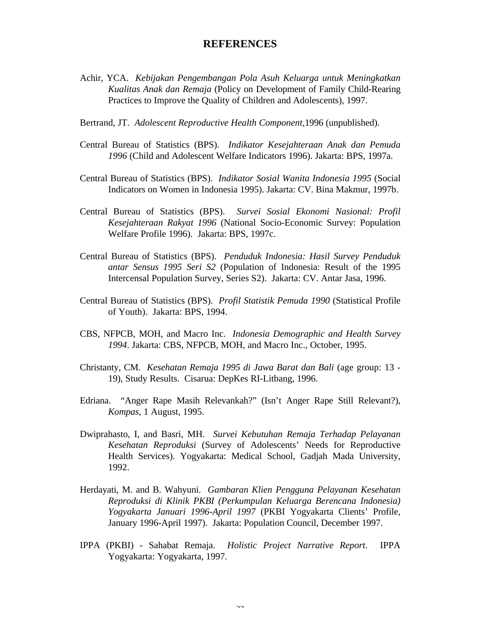# **REFERENCES**

- Achir, YCA. *Kebijakan Pengembangan Pola Asuh Keluarga untuk Meningkatkan Kualitas Anak dan Remaja* (Policy on Development of Family Child-Rearing Practices to Improve the Quality of Children and Adolescents), 1997.
- Bertrand, JT. *Adolescent Reproductive Health Component,*1996 (unpublished).
- Central Bureau of Statistics (BPS). *Indikator Kesejahteraan Anak dan Pemuda 1996* (Child and Adolescent Welfare Indicators 1996). Jakarta: BPS, 1997a.
- Central Bureau of Statistics (BPS). *Indikator Sosial Wanita Indonesia 1995* (Social Indicators on Women in Indonesia 1995). Jakarta: CV. Bina Makmur, 1997b.
- Central Bureau of Statistics (BPS). *Survei Sosial Ekonomi Nasional: Profil Kesejahteraan Rakyat 1996* (National Socio-Economic Survey: Population Welfare Profile 1996). Jakarta: BPS, 1997c.
- Central Bureau of Statistics (BPS). *Penduduk Indonesia: Hasil Survey Penduduk antar Sensus 1995 Seri S2* (Population of Indonesia: Result of the 1995 Intercensal Population Survey, Series S2). Jakarta: CV. Antar Jasa, 1996.
- Central Bureau of Statistics (BPS). *Profil Statistik Pemuda 1990* (Statistical Profile of Youth). Jakarta: BPS, 1994.
- CBS, NFPCB*,* MOH*,* and Macro Inc. *Indonesia Demographic and Health Survey 1994*. Jakarta: CBS, NFPCB*,* MOH*,* and Macro Inc., October, 1995.
- Christanty, CM. *Kesehatan Remaja 1995 di Jawa Barat dan Bali* (age group: 13 19), Study Results. Cisarua: DepKes RI-Litbang, 1996.
- Edriana. "Anger Rape Masih Relevankah?" (Isn't Anger Rape Still Relevant?), *Kompas*, 1 August, 1995.
- Dwiprahasto, I, and Basri, MH. *Survei Kebutuhan Remaja Terhadap Pelayanan Kesehatan Reproduksi* (Survey of Adolescents' Needs for Reproductive Health Services). Yogyakarta: Medical School, Gadjah Mada University, 1992.
- Herdayati, M. and B. Wahyuni. *Gambaran Klien Pengguna Pelayanan Kesehatan Reproduksi di Klinik PKBI (Perkumpulan Keluarga Berencana Indonesia) Yogyakarta Januari 1996-April 1997* (PKBI Yogyakarta Clients' Profile, January 1996-April 1997). Jakarta: Population Council, December 1997.
- IPPA (PKBI) Sahabat Remaja. *Holistic Project Narrative Report*. IPPA Yogyakarta: Yogyakarta, 1997.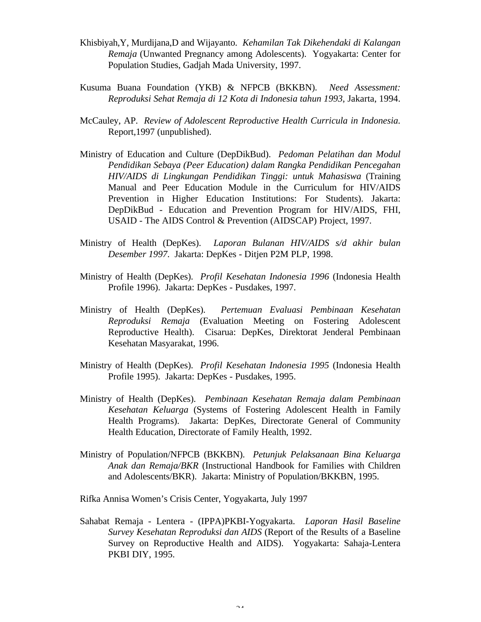- Khisbiyah,Y, Murdijana,D and Wijayanto. *Kehamilan Tak Dikehendaki di Kalangan Remaja* (Unwanted Pregnancy among Adolescents). Yogyakarta: Center for Population Studies, Gadjah Mada University, 1997.
- Kusuma Buana Foundation (YKB) & NFPCB (BKKBN). *Need Assessment: Reproduksi Sehat Remaja di 12 Kota di Indonesia tahun 1993*, Jakarta, 1994.
- McCauley, AP. *Review of Adolescent Reproductive Health Curricula in Indonesia.* Report,1997 (unpublished).
- Ministry of Education and Culture (DepDikBud). *Pedoman Pelatihan dan Modul Pendidikan Sebaya (Peer Education) dalam Rangka Pendidikan Pencegahan HIV/AIDS di Lingkungan Pendidikan Tinggi: untuk Mahasiswa* (Training Manual and Peer Education Module in the Curriculum for HIV/AIDS Prevention in Higher Education Institutions: For Students). Jakarta: DepDikBud - Education and Prevention Program for HIV/AIDS, FHI, USAID - The AIDS Control & Prevention (AIDSCAP) Project, 1997.
- Ministry of Health (DepKes). *Laporan Bulanan HIV/AIDS s/d akhir bulan Desember 1997*. Jakarta: DepKes - Ditjen P2M PLP, 1998.
- Ministry of Health (DepKes). *Profil Kesehatan Indonesia 1996* (Indonesia Health Profile 1996). Jakarta: DepKes - Pusdakes, 1997.
- Ministry of Health (DepKes). *Pertemuan Evaluasi Pembinaan Kesehatan Reproduksi Remaja* (Evaluation Meeting on Fostering Adolescent Reproductive Health).Cisarua: DepKes, Direktorat Jenderal Pembinaan Kesehatan Masyarakat, 1996.
- Ministry of Health (DepKes). *Profil Kesehatan Indonesia 1995* (Indonesia Health Profile 1995). Jakarta: DepKes - Pusdakes, 1995.
- Ministry of Health (DepKes). *Pembinaan Kesehatan Remaja dalam Pembinaan Kesehatan Keluarga* (Systems of Fostering Adolescent Health in Family Health Programs). Jakarta: DepKes, Directorate General of Community Health Education, Directorate of Family Health, 1992.
- Ministry of Population/NFPCB (BKKBN). *Petunjuk Pelaksanaan Bina Keluarga Anak dan Remaja/BKR* (Instructional Handbook for Families with Children and Adolescents/BKR). Jakarta: Ministry of Population/BKKBN, 1995.

Rifka Annisa Women's Crisis Center, Yogyakarta, July 1997

Sahabat Remaja - Lentera - (IPPA)PKBI-Yogyakarta. *Laporan Hasil Baseline Survey Kesehatan Reproduksi dan AIDS* (Report of the Results of a Baseline Survey on Reproductive Health and AIDS). Yogyakarta: Sahaja-Lentera PKBI DIY, 1995.